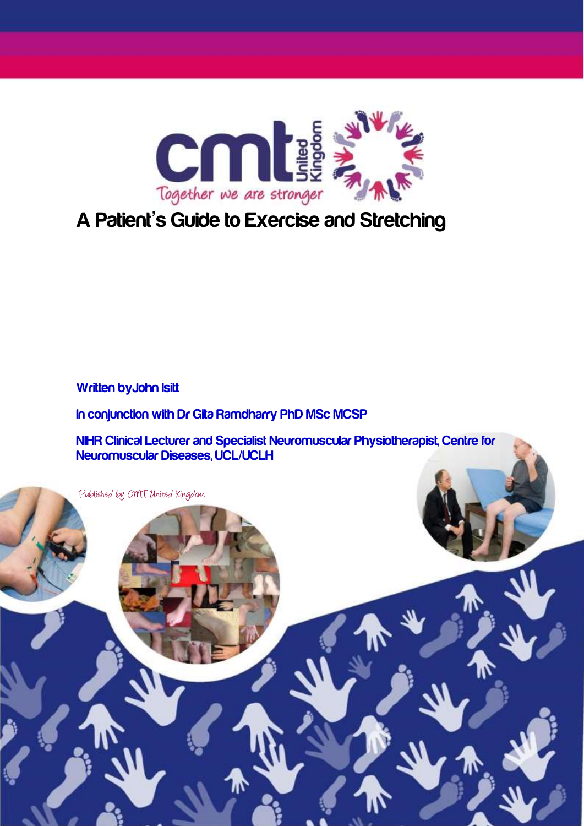

# **A Patient**'**s Guide to Exercise and Stretching**

**Written byJohn Isitt**

**In conjunction with Dr Gita Ramdharry PhD MSc MCSP** 

**NIHR Clinical Lecturer and Specialist Neuromuscular Physiotherapist, Centre for Neuromuscular Diseases, UCL/UCLH** 

Published by CMT United Kingdom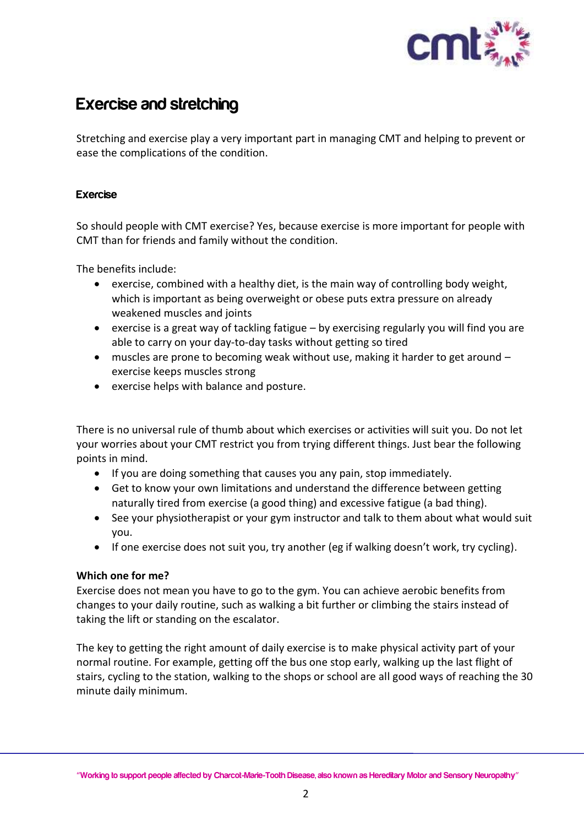

## **Exercise and stretching**

Stretching and exercise play a very important part in managing CMT and helping to prevent or ease the complications of the condition.

### **Exercise**

So should people with CMT exercise? Yes, because exercise is more important for people with CMT than for friends and family without the condition.

The benefits include:

- $\bullet$  exercise, combined with a healthy diet, is the main way of controlling body weight, which is important as being overweight or obese puts extra pressure on already weakened muscles and joints
- exercise is a great way of tackling fatigue by exercising regularly you will find you are able to carry on your day-to-day tasks without getting so tired
- muscles are prone to becoming weak without use, making it harder to get around exercise keeps muscles strong
- exercise helps with balance and posture.

There is no universal rule of thumb about which exercises or activities will suit you. Do not let your worries about your CMT restrict you from trying different things. Just bear the following points in mind.

- If you are doing something that causes you any pain, stop immediately.
- Get to know your own limitations and understand the difference between getting naturally tired from exercise (a good thing) and excessive fatigue (a bad thing).
- See your physiotherapist or your gym instructor and talk to them about what would suit you.
- If one exercise does not suit you, try another (eg if walking doesn't work, try cycling).

### **Which one for me?**

Exercise does not mean you have to go to the gym. You can achieve aerobic benefits from changes to your daily routine, such as walking a bit further or climbing the stairs instead of taking the lift or standing on the escalator.

The key to getting the right amount of daily exercise is to make physical activity part of your normal routine. For example, getting off the bus one stop early, walking up the last flight of stairs, cycling to the station, walking to the shops or school are all good ways of reaching the 30 minute daily minimum.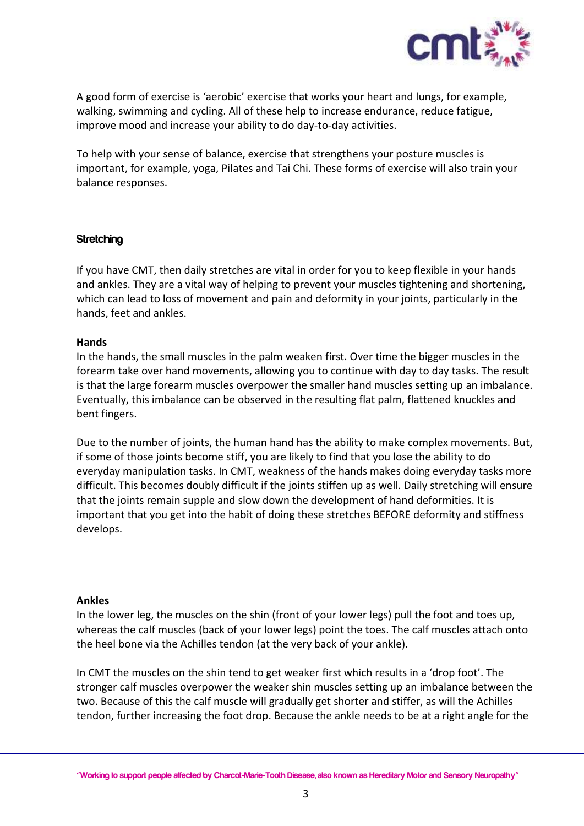

A good form of exercise is 'aerobic' exercise that works your heart and lungs, for example, walking, swimming and cycling. All of these help to increase endurance, reduce fatigue, improve mood and increase your ability to do day-to-day activities.

To help with your sense of balance, exercise that strengthens your posture muscles is important, for example, yoga, Pilates and Tai Chi. These forms of exercise will also train your balance responses.

### **Stretching**

If you have CMT, then daily stretches are vital in order for you to keep flexible in your hands and ankles. They are a vital way of helping to prevent your muscles tightening and shortening, which can lead to loss of movement and pain and deformity in your joints, particularly in the hands, feet and ankles.

### **Hands**

In the hands, the small muscles in the palm weaken first. Over time the bigger muscles in the forearm take over hand movements, allowing you to continue with day to day tasks. The result is that the large forearm muscles overpower the smaller hand muscles setting up an imbalance. Eventually, this imbalance can be observed in the resulting flat palm, flattened knuckles and bent fingers.

Due to the number of joints, the human hand has the ability to make complex movements. But, if some of those joints become stiff, you are likely to find that you lose the ability to do everyday manipulation tasks. In CMT, weakness of the hands makes doing everyday tasks more difficult. This becomes doubly difficult if the joints stiffen up as well. Daily stretching will ensure that the joints remain supple and slow down the development of hand deformities. It is important that you get into the habit of doing these stretches BEFORE deformity and stiffness develops.

#### **Ankles**

In the lower leg, the muscles on the shin (front of your lower legs) pull the foot and toes up, whereas the calf muscles (back of your lower legs) point the toes. The calf muscles attach onto the heel bone via the Achilles tendon (at the very back of your ankle).

In CMT the muscles on the shin tend to get weaker first which results in a 'drop foot'. The stronger calf muscles overpower the weaker shin muscles setting up an imbalance between the two. Because of this the calf muscle will gradually get shorter and stiffer, as will the Achilles tendon, further increasing the foot drop. Because the ankle needs to be at a right angle for the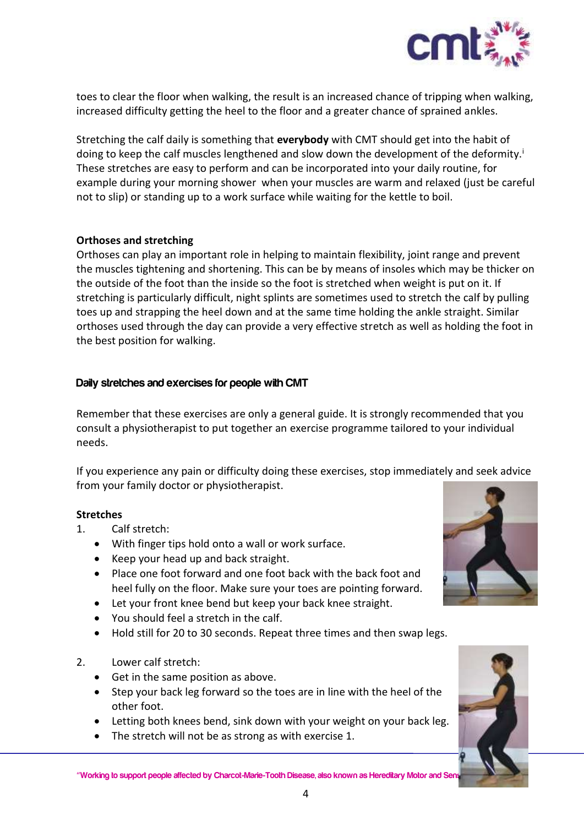

toes to clear the floor when walking, the result is an increased chance of tripping when walking, increased difficulty getting the heel to the floor and a greater chance of sprained ankles.

Stretching the calf daily is something that **everybody** with CMT should get into the habit of doing to keep the calf muscles lengthened and slow down the development of the deformity.<sup>1</sup> These stretches are easy to perform and can be incorporated into your daily routine, for example during your morning shower when your muscles are warm and relaxed (just be careful not to slip) or standing up to a work surface while waiting for the kettle to boil.

### **Orthoses and stretching**

Orthoses can play an important role in helping to maintain flexibility, joint range and prevent the muscles tightening and shortening. This can be by means of insoles which may be thicker on the outside of the foot than the inside so the foot is stretched when weight is put on it. If stretching is particularly difficult, night splints are sometimes used to stretch the calf by pulling toes up and strapping the heel down and at the same time holding the ankle straight. Similar orthoses used through the day can provide a very effective stretch as well as holding the foot in the best position for walking.

### **Daily stretches and exercises for people with CMT**

Remember that these exercises are only a general guide. It is strongly recommended that you consult a physiotherapist to put together an exercise programme tailored to your individual needs.

If you experience any pain or difficulty doing these exercises, stop immediately and seek advice from your family doctor or physiotherapist.

### **Stretches**

- 1. Calf stretch:
	- With finger tips hold onto a wall or work surface.
	- Keep your head up and back straight.
	- Place one foot forward and one foot back with the back foot and heel fully on the floor. Make sure your toes are pointing forward.
	- Let your front knee bend but keep your back knee straight.
	- You should feel a stretch in the calf.
	- Hold still for 20 to 30 seconds. Repeat three times and then swap legs.
- 2. Lower calf stretch:
	- Get in the same position as above.
	- Step your back leg forward so the toes are in line with the heel of the other foot.
	- Letting both knees bend, sink down with your weight on your back leg.
	- The stretch will not be as strong as with exercise 1.



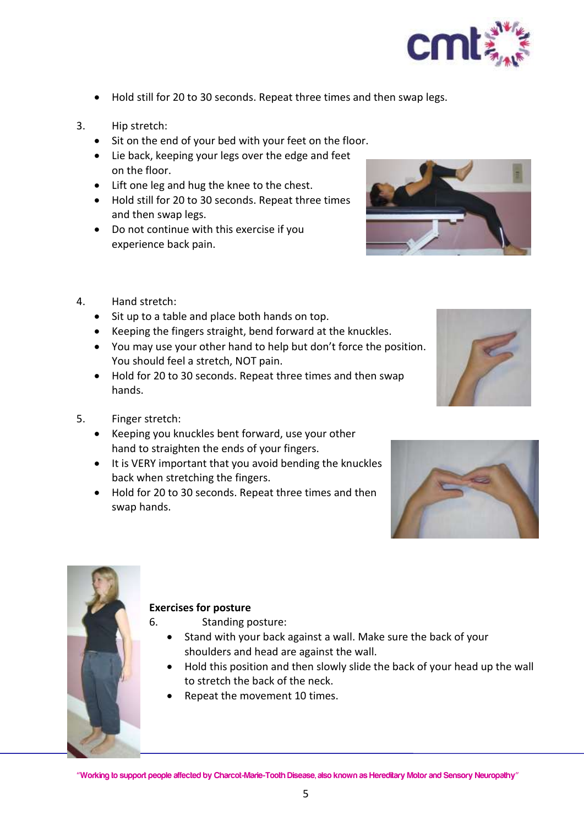

- Hold still for 20 to 30 seconds. Repeat three times and then swap legs.
- 3. Hip stretch:
	- Sit on the end of your bed with your feet on the floor.
	- Lie back, keeping your legs over the edge and feet on the floor.
	- Lift one leg and hug the knee to the chest.
	- Hold still for 20 to 30 seconds. Repeat three times and then swap legs.
	- Do not continue with this exercise if you experience back pain.



- 4. Hand stretch:
	- Sit up to a table and place both hands on top.
	- Keeping the fingers straight, bend forward at the knuckles.
	- You may use your other hand to help but don't force the position. You should feel a stretch, NOT pain.
	- Hold for 20 to 30 seconds. Repeat three times and then swap hands.
- 5. Finger stretch:
	- Keeping you knuckles bent forward, use your other hand to straighten the ends of your fingers.
	- It is VERY important that you avoid bending the knuckles back when stretching the fingers.
	- Hold for 20 to 30 seconds. Repeat three times and then swap hands.







### **Exercises for posture**

6. Standing posture:

- Stand with your back against a wall. Make sure the back of your shoulders and head are against the wall.
- Hold this position and then slowly slide the back of your head up the wall to stretch the back of the neck.
- Repeat the movement 10 times.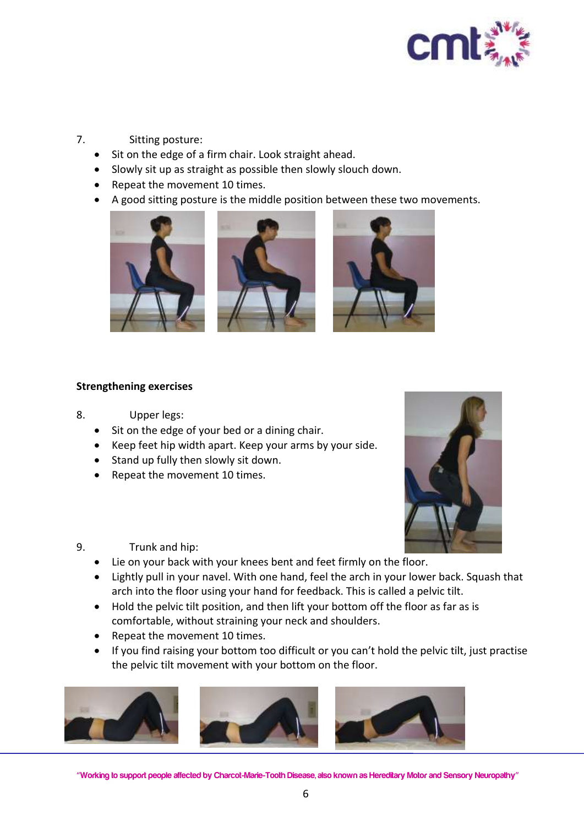

### 7. Sitting posture:

- Sit on the edge of a firm chair. Look straight ahead.
- Slowly sit up as straight as possible then slowly slouch down.
- Repeat the movement 10 times.
- A good sitting posture is the middle position between these two movements.







### **Strengthening exercises**

- 8. Upper legs:
	- Sit on the edge of your bed or a dining chair.
	- Keep feet hip width apart. Keep your arms by your side.
	- Stand up fully then slowly sit down.
	- Repeat the movement 10 times.



- 9. Trunk and hip:
	- Lie on your back with your knees bent and feet firmly on the floor.
	- Lightly pull in your navel. With one hand, feel the arch in your lower back. Squash that arch into the floor using your hand for feedback. This is called a pelvic tilt.
	- Hold the pelvic tilt position, and then lift your bottom off the floor as far as is comfortable, without straining your neck and shoulders.
	- Repeat the movement 10 times.
	- If you find raising your bottom too difficult or you can't hold the pelvic tilt, just practise the pelvic tilt movement with your bottom on the floor.

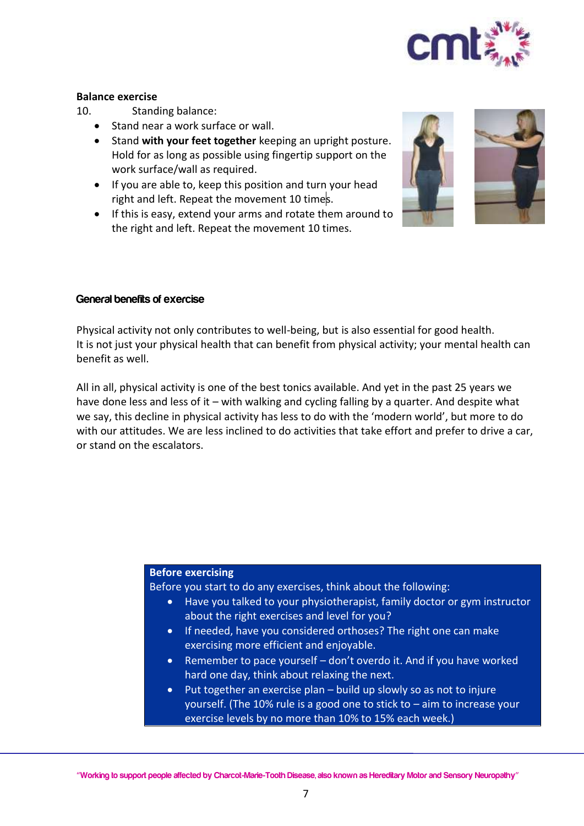

### **Balance exercise**

10. Standing balance:

- Stand near a work surface or wall.
- **Stand with your feet together** keeping an upright posture. Hold for as long as possible using fingertip support on the work surface/wall as required.
- If you are able to, keep this position and turn your head right and left. Repeat the movement 10 times.
- If this is easy, extend your arms and rotate them around to the right and left. Repeat the movement 10 times.



# **General benefits of exercise**

Physical activity not only contributes to well-being, but is also essential for good health. It is not just your physical health that can benefit from physical activity; your mental health can benefit as well.

All in all, physical activity is one of the best tonics available. And yet in the past 25 years we have done less and less of it – with walking and cycling falling by a quarter. And despite what we say, this decline in physical activity has less to do with the 'modern world', but more to do with our attitudes. We are less inclined to do activities that take effort and prefer to drive a car, or stand on the escalators.

### **Before exercising**

Before you start to do any exercises, think about the following:

- Have you talked to your physiotherapist, family doctor or gym instructor about the right exercises and level for you?
- If needed, have you considered orthoses? The right one can make exercising more efficient and enjoyable.
- Remember to pace yourself don't overdo it. And if you have worked hard one day, think about relaxing the next.
- Put together an exercise plan build up slowly so as not to injure yourself. (The 10% rule is a good one to stick to – aim to increase your exercise levels by no more than 10% to 15% each week.)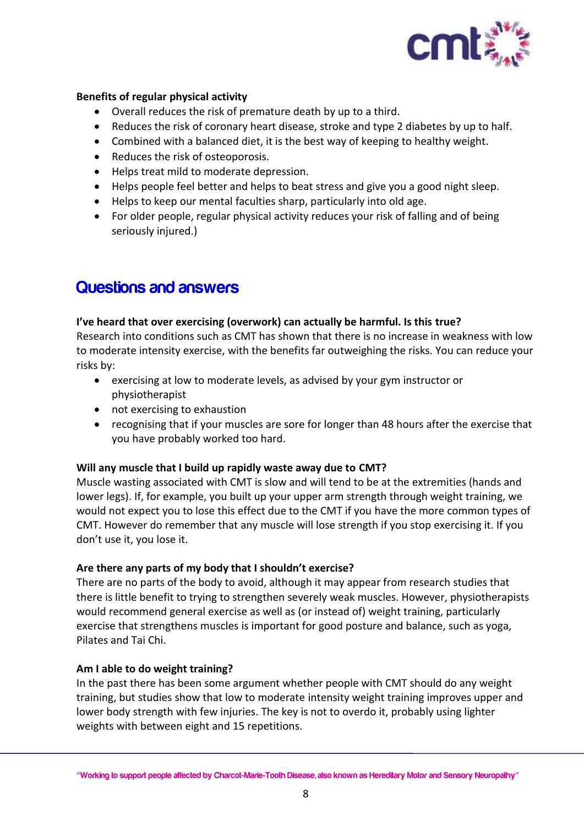

### **Benefits of regular physical activity**

- Overall reduces the risk of premature death by up to a third.
- Reduces the risk of coronary heart disease, stroke and type 2 diabetes by up to half.
- Combined with a balanced diet, it is the best way of keeping to healthy weight.
- Reduces the risk of osteoporosis.
- Helps treat mild to moderate depression.
- Helps people feel better and helps to beat stress and give you a good night sleep.
- Helps to keep our mental faculties sharp, particularly into old age.
- For older people, regular physical activity reduces your risk of falling and of being seriously injured.)

## **Questions and answers**

### **I've heard that over exercising (overwork) can actually be harmful. Is this true?**

Research into conditions such as CMT has shown that there is no increase in weakness with low to moderate intensity exercise, with the benefits far outweighing the risks. You can reduce your risks by:

- exercising at low to moderate levels, as advised by your gym instructor or physiotherapist
- not exercising to exhaustion
- recognising that if your muscles are sore for longer than 48 hours after the exercise that you have probably worked too hard.

### **Will any muscle that I build up rapidly waste away due to CMT?**

Muscle wasting associated with CMT is slow and will tend to be at the extremities (hands and lower legs). If, for example, you built up your upper arm strength through weight training, we would not expect you to lose this effect due to the CMT if you have the more common types of CMT. However do remember that any muscle will lose strength if you stop exercising it. If you don't use it, you lose it.

### **Are there any parts of my body that I shouldn't exercise?**

There are no parts of the body to avoid, although it may appear from research studies that there is little benefit to trying to strengthen severely weak muscles. However, physiotherapists would recommend general exercise as well as (or instead of) weight training, particularly exercise that strengthens muscles is important for good posture and balance, such as yoga, Pilates and Tai Chi.

### **Am I able to do weight training?**

In the past there has been some argument whether people with CMT should do any weight training, but studies show that low to moderate intensity weight training improves upper and lower body strength with few injuries. The key is not to overdo it, probably using lighter weights with between eight and 15 repetitions.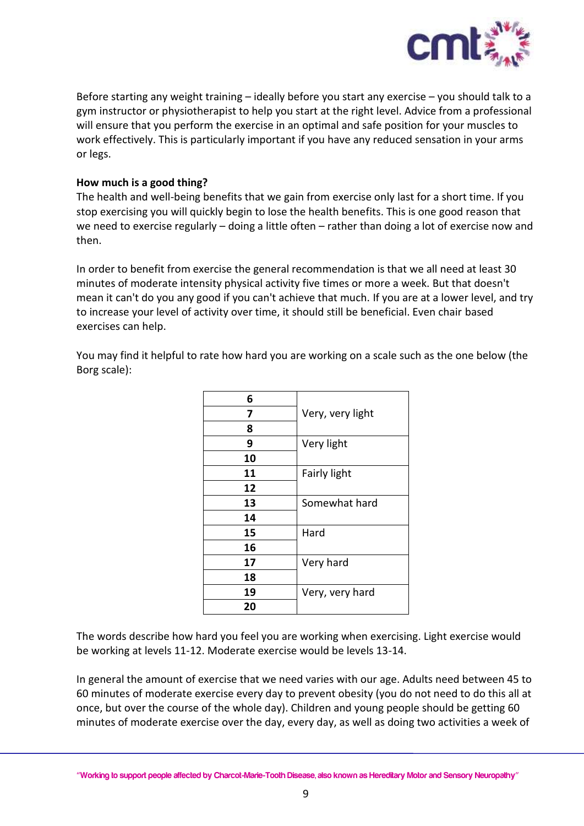

Before starting any weight training – ideally before you start any exercise – you should talk to a gym instructor or physiotherapist to help you start at the right level. Advice from a professional will ensure that you perform the exercise in an optimal and safe position for your muscles to work effectively. This is particularly important if you have any reduced sensation in your arms or legs.

### **How much is a good thing?**

The health and well-being benefits that we gain from exercise only last for a short time. If you stop exercising you will quickly begin to lose the health benefits. This is one good reason that we need to exercise regularly – doing a little often – rather than doing a lot of exercise now and then.

In order to benefit from exercise the general recommendation is that we all need at least 30 minutes of moderate intensity physical activity five times or more a week. But that doesn't mean it can't do you any good if you can't achieve that much. If you are at a lower level, and try to increase your level of activity over time, it should still be beneficial. Even chair based exercises can help.

You may find it helpful to rate how hard you are working on a scale such as the one below (the Borg scale):

| 6  |                  |
|----|------------------|
| 7  | Very, very light |
| 8  |                  |
| 9  | Very light       |
| 10 |                  |
| 11 | Fairly light     |
| 12 |                  |
| 13 | Somewhat hard    |
| 14 |                  |
| 15 | Hard             |
| 16 |                  |
| 17 | Very hard        |
| 18 |                  |
| 19 | Very, very hard  |
| 20 |                  |

The words describe how hard you feel you are working when exercising. Light exercise would be working at levels 11-12. Moderate exercise would be levels 13-14.

In general the amount of exercise that we need varies with our age. Adults need between 45 to 60 minutes of moderate exercise every day to prevent obesity (you do not need to do this all at once, but over the course of the whole day). Children and young people should be getting 60 minutes of moderate exercise over the day, every day, as well as doing two activities a week of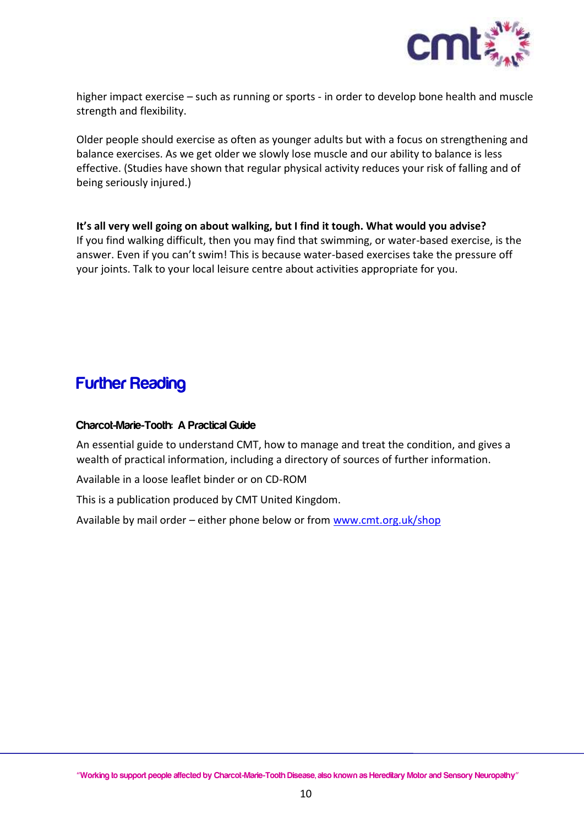

higher impact exercise – such as running or sports - in order to develop bone health and muscle strength and flexibility.

Older people should exercise as often as younger adults but with a focus on strengthening and balance exercises. As we get older we slowly lose muscle and our ability to balance is less effective. (Studies have shown that regular physical activity reduces your risk of falling and of being seriously injured.)

**It's all very well going on about walking, but I find it tough. What would you advise?** If you find walking difficult, then you may find that swimming, or water-based exercise, is the answer. Even if you can't swim! This is because water-based exercises take the pressure off your joints. Talk to your local leisure centre about activities appropriate for you.

## **Further Reading**

### **Charcot-Marie-Tooth: A Practical Guide**

An essential guide to understand CMT, how to manage and treat the condition, and gives a wealth of practical information, including a directory of sources of further information.

Available in a loose leaflet binder or on CD-ROM

This is a publication produced by CMT United Kingdom.

Available by mail order – either phone below or from [www.cmt.org.uk/shop](http://www.cmt.org.uk/shop)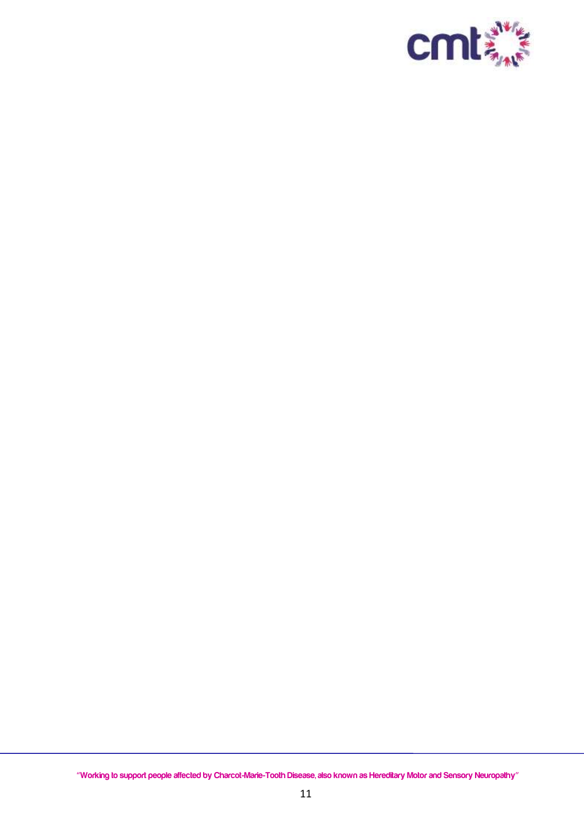